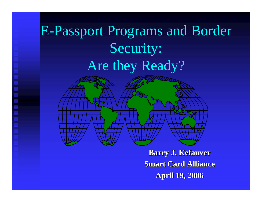## E-Passport Programs and Border Security: Are they Ready?

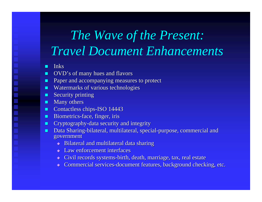## *The Wave of the Present: Travel Document Enhancements*

#### п Inks

- п OVD's of many hues and flavors
- п Paper and accompanying measures to protect
- п Watermarks of various technologies
- п Security printing
- п Many others
- п Contactless chips-ISO 14443
- п Biometrics-face, finger, iris
- $\blacksquare$  Cryptography-data security and integrity
- ш Data Sharing-bilateral, multilateral, special-purpose, commercial and government
	- $\bullet$  Bilateral and multilateral data sharing
	- $\triangle$  Law enforcement interfaces
	- $\blacklozenge$  Civil records systems-birth, death, marriage, tax, real estate
	- $\blacklozenge$  Commercial services-document features, background checking, etc.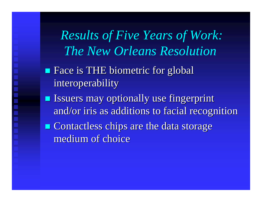*Results of Five Years of Work: The New Orleans Resolution*

- **Face is THE biometric for global** interoperability
- **Issuers may optionally use fingerprint** and/or iris as additions to facial recognition
- $\blacksquare$  Contactless chips are the data storage medium of choice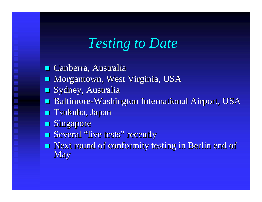## *Testing to Date*

■ Canberra, Australia **Morgantown, West Virginia, USA Sydney, Australia** 

- **Baltimore-Washington International Airport, USA**
- **T**sukuba, Japan
- $\blacksquare$  Singapore
- **Several "live tests"**  $"$  recently
- Next round of conformity testing in Berlin end of **May**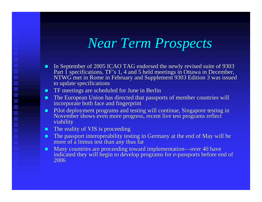## *Near Term Prospects*

- п In September of 2005 ICAO TAG endorsed the newly revised suite of 9303 Part 1 specifications, TF's 1, 4 and 5 held meetings in Ottawa in December, NTWG met in Rome in February and Supplement 9303 Edition 3 was issued to update specifications
- **THE 19** TF meetings are scheduled for June in Berlin
- . The European Union has directed that passports of member countries will incorporate both face and fingerprint
- ш Pilot deployment programs and testing will continue, Singapore testing in November shows even more progress, recent live test programs reflect viability
- **The reality of VIS is proceeding**

- ш **The passport interoperability testing in Germany at the end of May will be** more of a litmus test than any thus far
- $\blacksquare$ Many countries are proceeding toward implementation—over 40 have indicated they will begin to develop programs for e-passports before end of 2006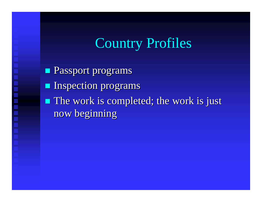## Country Profiles

**Passport programs Inspection programs**  $\blacksquare$  The work is completed; the work is just now beginning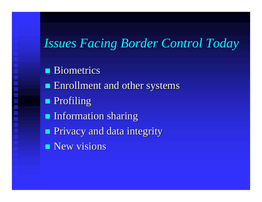### *Issues Facing Border Control Today*

- **Biometrics**
- **Enrollment and other systems**
- **Profiling**

- **Information sharing**
- **Privacy and data integrity**
- $\blacksquare$  New visions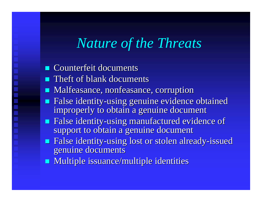## *Nature of the Threats*

- $\blacksquare$  Counterfeit documents
- $\blacksquare$  Theft of blank documents
- **Malfeasance, nonfeasance, corruption**
- **False identity-using genuine evidence obtained** improperly to obtain a genuine document
- **False identity-using manufactured evidence of** support to obtain a genuine document
- **Example 3 False identity-using lost or stolen already-issued** genuine documents
- **Multiple issuance/multiple identities** Multiple issuance/multiple identities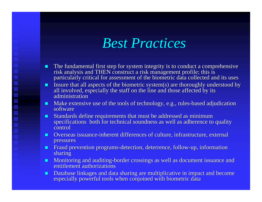## *Best Practices*

- п The fundamental first step for system integrity is to conduct a comprehensive risk analysis and THEN construct a risk management profile; this is particularly critical for assessment of the biometric data collected and its uses
- $\blacksquare$ Insure that all aspects of the biometric system(s) are thoroughly understood by all involved, especially the staff on the line and those affected by its administration
- . Make extensive use of the tools of technology, e.g., rules-based adjudication software

- n. Standards define requirements that must be addressed as minimum specifications both for technical soundness as well as adherence to quality control
- **Overseas issuance-inherent differences of culture, infrastructure, external inherent differences of culture, infrastructure, external** pressures
- ш Fraud prevention programs-detection, deterrence, follow-up, information sharing
- ш Monitoring and auditing-border crossings as well as document issuance and entitlement authorizations
- $\blacksquare$ **EXTER** Database linkages and data sharing are multiplicative in impact and become especially powerful tools when conjoined with biometric data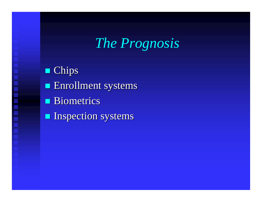## *The Prognosis*

**Chips** 

▌▊▊▊▊▊▊▊

- **Enrollment systems**
- **Biometrics**
- **Inspection systems**